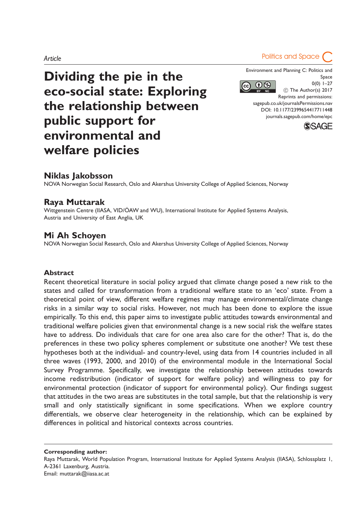# Article **Article**

Environment and Planning C: Politics and Space 0(0) 1–27 (C) The Author(s) 2017 Reprints and permissions: [sagepub.co.uk/journalsPermissions.nav](https://uk.sagepub.com/en-gb/journals-permissions) DOI: [10.1177/2399654417711448](https://doi.org/10.1177/2399654417711448) <journals.sagepub.com/home/epc>



# Dividing the pie in the eco-social state: Exploring the relationship between public support for environmental and welfare policies

# Niklas Jakobsson

NOVA Norwegian Social Research, Oslo and Akershus University College of Applied Sciences, Norway

# Raya Muttarak

Wittgenstein Centre (IIASA, VID/ÖAW and WU), International Institute for Applied Systems Analysis, Austria and University of East Anglia, UK

# Mi Ah Schoyen

NOVA Norwegian Social Research, Oslo and Akershus University College of Applied Sciences, Norway

# **Abstract**

Recent theoretical literature in social policy argued that climate change posed a new risk to the states and called for transformation from a traditional welfare state to an 'eco' state. From a theoretical point of view, different welfare regimes may manage environmental/climate change risks in a similar way to social risks. However, not much has been done to explore the issue empirically. To this end, this paper aims to investigate public attitudes towards environmental and traditional welfare policies given that environmental change is a new social risk the welfare states have to address. Do individuals that care for one area also care for the other? That is, do the preferences in these two policy spheres complement or substitute one another? We test these hypotheses both at the individual- and country-level, using data from 14 countries included in all three waves (1993, 2000, and 2010) of the environmental module in the International Social Survey Programme. Specifically, we investigate the relationship between attitudes towards income redistribution (indicator of support for welfare policy) and willingness to pay for environmental protection (indicator of support for environmental policy). Our findings suggest that attitudes in the two areas are substitutes in the total sample, but that the relationship is very small and only statistically significant in some specifications. When we explore country differentials, we observe clear heterogeneity in the relationship, which can be explained by differences in political and historical contexts across countries.

Corresponding author:

Raya Muttarak, World Population Program, International Institute for Applied Systems Analysis (IIASA), Schlossplatz 1, A-2361 Laxenburg, Austria. Email: muttarak@iiasa.ac.at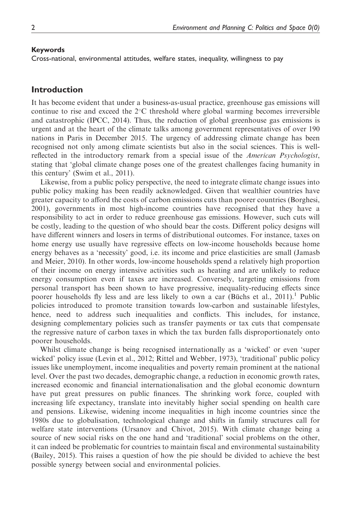#### Keywords

Cross-national, environmental attitudes, welfare states, inequality, willingness to pay

# Introduction

It has become evident that under a business-as-usual practice, greenhouse gas emissions will continue to rise and exceed the  $2^{\circ}$ C threshold where global warming becomes irreversible and catastrophic (IPCC, 2014). Thus, the reduction of global greenhouse gas emissions is urgent and at the heart of the climate talks among government representatives of over 190 nations in Paris in December 2015. The urgency of addressing climate change has been recognised not only among climate scientists but also in the social sciences. This is wellreflected in the introductory remark from a special issue of the *American Psychologist*, stating that 'global climate change poses one of the greatest challenges facing humanity in this century' (Swim et al., 2011).

Likewise, from a public policy perspective, the need to integrate climate change issues into public policy making has been readily acknowledged. Given that wealthier countries have greater capacity to afford the costs of carbon emissions cuts than poorer countries (Borghesi, 2001), governments in most high-income countries have recognised that they have a responsibility to act in order to reduce greenhouse gas emissions. However, such cuts will be costly, leading to the question of who should bear the costs. Different policy designs will have different winners and losers in terms of distributional outcomes. For instance, taxes on home energy use usually have regressive effects on low-income households because home energy behaves as a 'necessity' good, i.e. its income and price elasticities are small (Jamasb and Meier, 2010). In other words, low-income households spend a relatively high proportion of their income on energy intensive activities such as heating and are unlikely to reduce energy consumption even if taxes are increased. Conversely, targeting emissions from personal transport has been shown to have progressive, inequality-reducing effects since poorer households fly less and are less likely to own a car (Büchs et al., 2011).<sup>1</sup> Public policies introduced to promote transition towards low-carbon and sustainable lifestyles, hence, need to address such inequalities and conflicts. This includes, for instance, designing complementary policies such as transfer payments or tax cuts that compensate the regressive nature of carbon taxes in which the tax burden falls disproportionately onto poorer households.

Whilst climate change is being recognised internationally as a 'wicked' or even 'super wicked' policy issue (Levin et al., 2012; Rittel and Webber, 1973), 'traditional' public policy issues like unemployment, income inequalities and poverty remain prominent at the national level. Over the past two decades, demographic change, a reduction in economic growth rates, increased economic and financial internationalisation and the global economic downturn have put great pressures on public finances. The shrinking work force, coupled with increasing life expectancy, translate into inevitably higher social spending on health care and pensions. Likewise, widening income inequalities in high income countries since the 1980s due to globalisation, technological change and shifts in family structures call for welfare state interventions (Ursanov and Chivot, 2015). With climate change being a source of new social risks on the one hand and 'traditional' social problems on the other, it can indeed be problematic for countries to maintain fiscal and environmental sustainability (Bailey, 2015). This raises a question of how the pie should be divided to achieve the best possible synergy between social and environmental policies.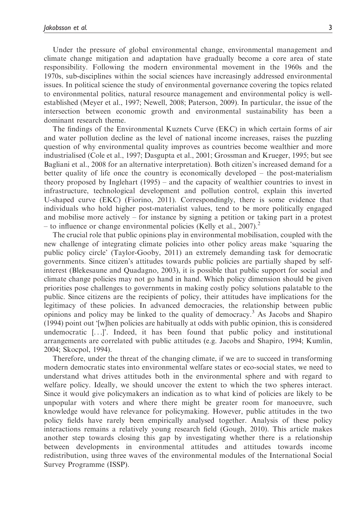Under the pressure of global environmental change, environmental management and climate change mitigation and adaptation have gradually become a core area of state responsibility. Following the modern environmental movement in the 1960s and the 1970s, sub-disciplines within the social sciences have increasingly addressed environmental issues. In political science the study of environmental governance covering the topics related to environmental politics, natural resource management and environmental policy is wellestablished (Meyer et al., 1997; Newell, 2008; Paterson, 2009). In particular, the issue of the intersection between economic growth and environmental sustainability has been a dominant research theme.

The findings of the Environmental Kuznets Curve (EKC) in which certain forms of air and water pollution decline as the level of national income increases, raises the puzzling question of why environmental quality improves as countries become wealthier and more industrialised (Cole et al., 1997; Dasgupta et al., 2001; Grossman and Krueger, 1995; but see Bagliani et al., 2008 for an alternative interpretation). Both citizen's increased demand for a better quality of life once the country is economically developed – the post-materialism theory proposed by Inglehart (1995) – and the capacity of wealthier countries to invest in infrastructure, technological development and pollution control, explain this inverted U-shaped curve (EKC) (Fiorino, 2011). Correspondingly, there is some evidence that individuals who hold higher post-materialist values, tend to be more politically engaged and mobilise more actively – for instance by signing a petition or taking part in a protest – to influence or change environmental policies (Kelly et al., 2007).<sup>2</sup>

The crucial role that public opinions play in environmental mobilisation, coupled with the new challenge of integrating climate policies into other policy areas make 'squaring the public policy circle' (Taylor-Gooby, 2011) an extremely demanding task for democratic governments. Since citizen's attitudes towards public policies are partially shaped by selfinterest (Blekesaune and Quadagno, 2003), it is possible that public support for social and climate change policies may not go hand in hand. Which policy dimension should be given priorities pose challenges to governments in making costly policy solutions palatable to the public. Since citizens are the recipients of policy, their attitudes have implications for the legitimacy of these policies. In advanced democracies, the relationship between public opinions and policy may be linked to the quality of democracy.<sup>3</sup> As Jacobs and Shapiro (1994) point out '[w]hen policies are habitually at odds with public opinion, this is considered undemocratic [...]'. Indeed, it has been found that public policy and institutional arrangements are correlated with public attitudes (e.g. Jacobs and Shapiro, 1994; Kumlin, 2004; Skocpol, 1994).

Therefore, under the threat of the changing climate, if we are to succeed in transforming modern democratic states into environmental welfare states or eco-social states, we need to understand what drives attitudes both in the environmental sphere and with regard to welfare policy. Ideally, we should uncover the extent to which the two spheres interact. Since it would give policymakers an indication as to what kind of policies are likely to be unpopular with voters and where there might be greater room for manoeuvre, such knowledge would have relevance for policymaking. However, public attitudes in the two policy fields have rarely been empirically analysed together. Analysis of these policy interactions remains a relatively young research field (Gough, 2010). This article makes another step towards closing this gap by investigating whether there is a relationship between developments in environmental attitudes and attitudes towards income redistribution, using three waves of the environmental modules of the International Social Survey Programme (ISSP).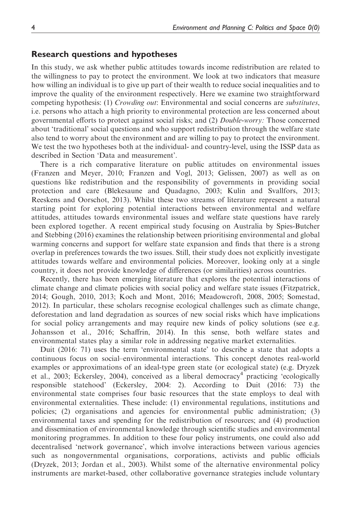### Research questions and hypotheses

In this study, we ask whether public attitudes towards income redistribution are related to the willingness to pay to protect the environment. We look at two indicators that measure how willing an individual is to give up part of their wealth to reduce social inequalities and to improve the quality of the environment respectively. Here we examine two straightforward competing hypothesis: (1) Crowding out: Environmental and social concerns are substitutes, i.e. persons who attach a high priority to environmental protection are less concerned about governmental efforts to protect against social risks; and (2) Double-worry: Those concerned about 'traditional' social questions and who support redistribution through the welfare state also tend to worry about the environment and are willing to pay to protect the environment. We test the two hypotheses both at the individual- and country-level, using the ISSP data as described in Section 'Data and measurement'.

There is a rich comparative literature on public attitudes on environmental issues (Franzen and Meyer, 2010; Franzen and Vogl, 2013; Gelissen, 2007) as well as on questions like redistribution and the responsibility of governments in providing social protection and care (Blekesaune and Quadagno, 2003; Kulin and Svallfors, 2013; Reeskens and Oorschot, 2013). Whilst these two streams of literature represent a natural starting point for exploring potential interactions between environmental and welfare attitudes, attitudes towards environmental issues and welfare state questions have rarely been explored together. A recent empirical study focusing on Australia by Spies-Butcher and Stebbing (2016) examines the relationship between prioritising environmental and global warming concerns and support for welfare state expansion and finds that there is a strong overlap in preferences towards the two issues. Still, their study does not explicitly investigate attitudes towards welfare and environmental policies. Moreover, looking only at a single country, it does not provide knowledge of differences (or similarities) across countries.

Recently, there has been emerging literature that explores the potential interactions of climate change and climate policies with social policy and welfare state issues (Fitzpatrick, 2014; Gough, 2010, 2013; Koch and Mont, 2016; Meadowcroft, 2008, 2005; Somestad, 2012). In particular, these scholars recognise ecological challenges such as climate change, deforestation and land degradation as sources of new social risks which have implications for social policy arrangements and may require new kinds of policy solutions (see e.g. Johansson et al., 2016; Schaffrin, 2014). In this sense, both welfare states and environmental states play a similar role in addressing negative market externalities.

Duit (2016: 71) uses the term 'environmental state' to describe a state that adopts a continuous focus on social–environmental interactions. This concept denotes real-world examples or approximations of an ideal-type green state (or ecological state) (e.g. Dryzek et al., 2003; Eckersley, 2004), conceived as a liberal democracy<sup>4</sup> practicing 'ecologically responsible statehood' (Eckersley, 2004: 2). According to Duit (2016: 73) the environmental state comprises four basic resources that the state employs to deal with environmental externalities. These include: (1) environmental regulations, institutions and policies; (2) organisations and agencies for environmental public administration; (3) environmental taxes and spending for the redistribution of resources; and (4) production and dissemination of environmental knowledge through scientific studies and environmental monitoring programmes. In addition to these four policy instruments, one could also add decentralised 'network governance', which involve interactions between various agencies such as nongovernmental organisations, corporations, activists and public officials (Dryzek, 2013; Jordan et al., 2003). Whilst some of the alternative environmental policy instruments are market-based, other collaborative governance strategies include voluntary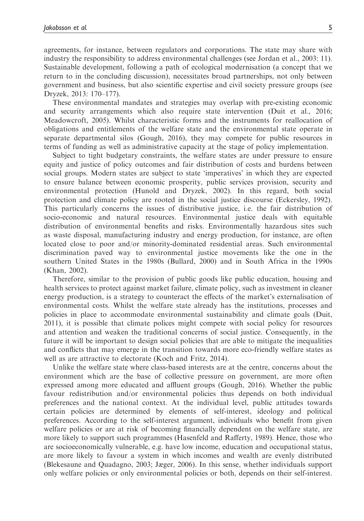agreements, for instance, between regulators and corporations. The state may share with industry the responsibility to address environmental challenges (see Jordan et al., 2003: 11). Sustainable development, following a path of ecological modernisation (a concept that we return to in the concluding discussion), necessitates broad partnerships, not only between government and business, but also scientific expertise and civil society pressure groups (see Dryzek, 2013: 170–177).

These environmental mandates and strategies may overlap with pre-existing economic and security arrangements which also require state intervention (Duit et al., 2016; Meadowcroft, 2005). Whilst characteristic forms and the instruments for reallocation of obligations and entitlements of the welfare state and the environmental state operate in separate departmental silos (Gough, 2016), they may compete for public resources in terms of funding as well as administrative capacity at the stage of policy implementation.

Subject to tight budgetary constraints, the welfare states are under pressure to ensure equity and justice of policy outcomes and fair distribution of costs and burdens between social groups. Modern states are subject to state 'imperatives' in which they are expected to ensure balance between economic prosperity, public services provision, security and environmental protection (Hunold and Dryzek, 2002). In this regard, both social protection and climate policy are rooted in the social justice discourse (Eckersley, 1992). This particularly concerns the issues of distributive justice, i.e. the fair distribution of socio-economic and natural resources. Environmental justice deals with equitable distribution of environmental benefits and risks. Environmentally hazardous sites such as waste disposal, manufacturing industry and energy production, for instance, are often located close to poor and/or minority-dominated residential areas. Such environmental discrimination paved way to environmental justice movements like the one in the southern United States in the 1980s (Bullard, 2000) and in South Africa in the 1990s (Khan, 2002).

Therefore, similar to the provision of public goods like public education, housing and health services to protect against market failure, climate policy, such as investment in cleaner energy production, is a strategy to counteract the effects of the market's externalisation of environmental costs. Whilst the welfare state already has the institutions, processes and policies in place to accommodate environmental sustainability and climate goals (Duit, 2011), it is possible that climate polices might compete with social policy for resources and attention and weaken the traditional concerns of social justice. Consequently, in the future it will be important to design social policies that are able to mitigate the inequalities and conflicts that may emerge in the transition towards more eco-friendly welfare states as well as are attractive to electorate (Koch and Fritz, 2014).

Unlike the welfare state where class-based interests are at the centre, concerns about the environment which are the base of collective pressure on government, are more often expressed among more educated and affluent groups (Gough, 2016). Whether the public favour redistribution and/or environmental policies thus depends on both individual preferences and the national context. At the individual level, public attitudes towards certain policies are determined by elements of self-interest, ideology and political preferences. According to the self-interest argument, individuals who benefit from given welfare policies or are at risk of becoming financially dependent on the welfare state, are more likely to support such programmes (Hasenfeld and Rafferty, 1989). Hence, those who are socioeconomically vulnerable, e.g. have low income, education and occupational status, are more likely to favour a system in which incomes and wealth are evenly distributed (Blekesaune and Quadagno, 2003; Jæger, 2006). In this sense, whether individuals support only welfare policies or only environmental policies or both, depends on their self-interest.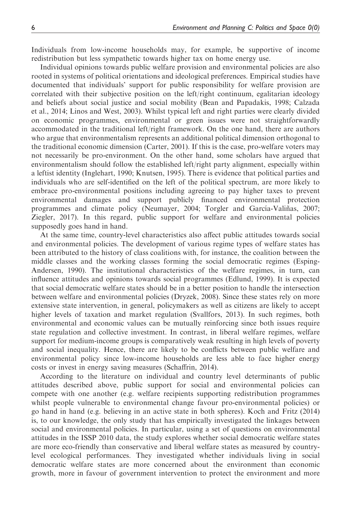Individuals from low-income households may, for example, be supportive of income redistribution but less sympathetic towards higher tax on home energy use.

Individual opinions towards public welfare provision and environmental policies are also rooted in systems of political orientations and ideological preferences. Empirical studies have documented that individuals' support for public responsibility for welfare provision are correlated with their subjective position on the left/right continuum, egalitarian ideology and beliefs about social justice and social mobility (Bean and Papadakis, 1998; Calzada et al., 2014; Linos and West, 2003). Whilst typical left and right parties were clearly divided on economic programmes, environmental or green issues were not straightforwardly accommodated in the traditional left/right framework. On the one hand, there are authors who argue that environmentalism represents an additional political dimension orthogonal to the traditional economic dimension (Carter, 2001). If this is the case, pro-welfare voters may not necessarily be pro-environment. On the other hand, some scholars have argued that environmentalism should follow the established left/right party alignment, especially within a leftist identity (Inglehart, 1990; Knutsen, 1995). There is evidence that political parties and individuals who are self-identified on the left of the political spectrum, are more likely to embrace pro-environmental positions including agreeing to pay higher taxes to prevent environmental damages and support publicly financed environmental protection programmes and climate policy (Neumayer, 2004; Torgler and García-Valiñas, 2007; Ziegler, 2017). In this regard, public support for welfare and environmental policies supposedly goes hand in hand.

At the same time, country-level characteristics also affect public attitudes towards social and environmental policies. The development of various regime types of welfare states has been attributed to the history of class coalitions with, for instance, the coalition between the middle classes and the working classes forming the social democratic regimes (Esping-Andersen, 1990). The institutional characteristics of the welfare regimes, in turn, can influence attitudes and opinions towards social programmes (Edlund, 1999). It is expected that social democratic welfare states should be in a better position to handle the intersection between welfare and environmental policies (Dryzek, 2008). Since these states rely on more extensive state intervention, in general, policymakers as well as citizens are likely to accept higher levels of taxation and market regulation (Svallfors, 2013). In such regimes, both environmental and economic values can be mutually reinforcing since both issues require state regulation and collective investment. In contrast, in liberal welfare regimes, welfare support for medium-income groups is comparatively weak resulting in high levels of poverty and social inequality. Hence, there are likely to be conflicts between public welfare and environmental policy since low-income households are less able to face higher energy costs or invest in energy saving measures (Schaffrin, 2014).

According to the literature on individual and country level determinants of public attitudes described above, public support for social and environmental policies can compete with one another (e.g. welfare recipients supporting redistribution programmes whilst people vulnerable to environmental change favour pro-environmental policies) or go hand in hand (e.g. believing in an active state in both spheres). Koch and Fritz (2014) is, to our knowledge, the only study that has empirically investigated the linkages between social and environmental policies. In particular, using a set of questions on environmental attitudes in the ISSP 2010 data, the study explores whether social democratic welfare states are more eco-friendly than conservative and liberal welfare states as measured by countrylevel ecological performances. They investigated whether individuals living in social democratic welfare states are more concerned about the environment than economic growth, more in favour of government intervention to protect the environment and more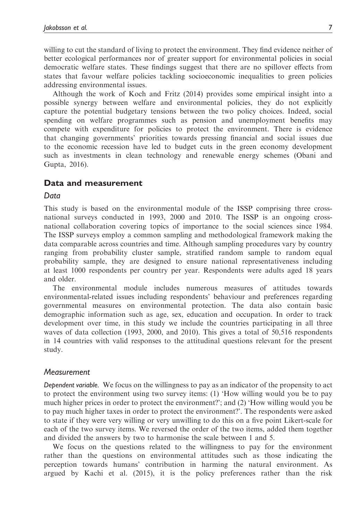willing to cut the standard of living to protect the environment. They find evidence neither of better ecological performances nor of greater support for environmental policies in social democratic welfare states. These findings suggest that there are no spillover effects from states that favour welfare policies tackling socioeconomic inequalities to green policies addressing environmental issues.

Although the work of Koch and Fritz (2014) provides some empirical insight into a possible synergy between welfare and environmental policies, they do not explicitly capture the potential budgetary tensions between the two policy choices. Indeed, social spending on welfare programmes such as pension and unemployment benefits may compete with expenditure for policies to protect the environment. There is evidence that changing governments' priorities towards pressing financial and social issues due to the economic recession have led to budget cuts in the green economy development such as investments in clean technology and renewable energy schemes (Obani and Gupta, 2016).

# Data and measurement

#### Data

This study is based on the environmental module of the ISSP comprising three crossnational surveys conducted in 1993, 2000 and 2010. The ISSP is an ongoing crossnational collaboration covering topics of importance to the social sciences since 1984. The ISSP surveys employ a common sampling and methodological framework making the data comparable across countries and time. Although sampling procedures vary by country ranging from probability cluster sample, stratified random sample to random equal probability sample, they are designed to ensure national representativeness including at least 1000 respondents per country per year. Respondents were adults aged 18 years and older.

The environmental module includes numerous measures of attitudes towards environmental-related issues including respondents' behaviour and preferences regarding governmental measures on environmental protection. The data also contain basic demographic information such as age, sex, education and occupation. In order to track development over time, in this study we include the countries participating in all three waves of data collection (1993, 2000, and 2010). This gives a total of 50,516 respondents in 14 countries with valid responses to the attitudinal questions relevant for the present study.

#### Measurement

Dependent variable. We focus on the willingness to pay as an indicator of the propensity to act to protect the environment using two survey items: (1) 'How willing would you be to pay much higher prices in order to protect the environment?'; and (2) 'How willing would you be to pay much higher taxes in order to protect the environment?'. The respondents were asked to state if they were very willing or very unwilling to do this on a five point Likert-scale for each of the two survey items. We reversed the order of the two items, added them together and divided the answers by two to harmonise the scale between 1 and 5.

We focus on the questions related to the willingness to pay for the environment rather than the questions on environmental attitudes such as those indicating the perception towards humans' contribution in harming the natural environment. As argued by Kachi et al. (2015), it is the policy preferences rather than the risk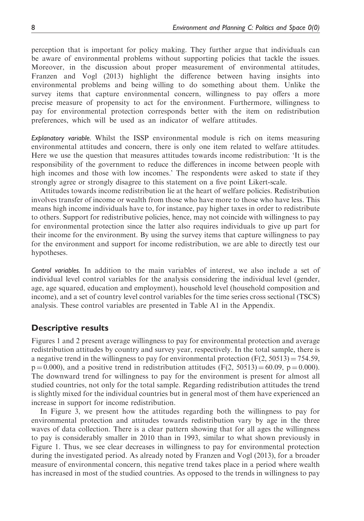perception that is important for policy making. They further argue that individuals can be aware of environmental problems without supporting policies that tackle the issues. Moreover, in the discussion about proper measurement of environmental attitudes, Franzen and Vogl (2013) highlight the difference between having insights into environmental problems and being willing to do something about them. Unlike the survey items that capture environmental concern, willingness to pay offers a more precise measure of propensity to act for the environment. Furthermore, willingness to pay for environmental protection corresponds better with the item on redistribution preferences, which will be used as an indicator of welfare attitudes.

Explanatory variable. Whilst the ISSP environmental module is rich on items measuring environmental attitudes and concern, there is only one item related to welfare attitudes. Here we use the question that measures attitudes towards income redistribution: 'It is the responsibility of the government to reduce the differences in income between people with high incomes and those with low incomes.' The respondents were asked to state if they strongly agree or strongly disagree to this statement on a five point Likert-scale.

Attitudes towards income redistribution lie at the heart of welfare policies. Redistribution involves transfer of income or wealth from those who have more to those who have less. This means high income individuals have to, for instance, pay higher taxes in order to redistribute to others. Support for redistributive policies, hence, may not coincide with willingness to pay for environmental protection since the latter also requires individuals to give up part for their income for the environment. By using the survey items that capture willingness to pay for the environment and support for income redistribution, we are able to directly test our hypotheses.

Control variables. In addition to the main variables of interest, we also include a set of individual level control variables for the analysis considering the individual level (gender, age, age squared, education and employment), household level (household composition and income), and a set of country level control variables for the time series cross sectional (TSCS) analysis. These control variables are presented in Table A1 in the Appendix.

# Descriptive results

Figures 1 and 2 present average willingness to pay for environmental protection and average redistribution attitudes by country and survey year, respectively. In the total sample, there is a negative trend in the willingness to pay for environmental protection  $(F(2, 50513) = 754.59,$  $p = 0.000$ , and a positive trend in redistribution attitudes (F(2, 50513) = 60.09, p = 0.000). The downward trend for willingness to pay for the environment is present for almost all studied countries, not only for the total sample. Regarding redistribution attitudes the trend is slightly mixed for the individual countries but in general most of them have experienced an increase in support for income redistribution.

In Figure 3, we present how the attitudes regarding both the willingness to pay for environmental protection and attitudes towards redistribution vary by age in the three waves of data collection. There is a clear pattern showing that for all ages the willingness to pay is considerably smaller in 2010 than in 1993, similar to what shown previously in Figure 1. Thus, we see clear decreases in willingness to pay for environmental protection during the investigated period. As already noted by Franzen and Vogl (2013), for a broader measure of environmental concern, this negative trend takes place in a period where wealth has increased in most of the studied countries. As opposed to the trends in willingness to pay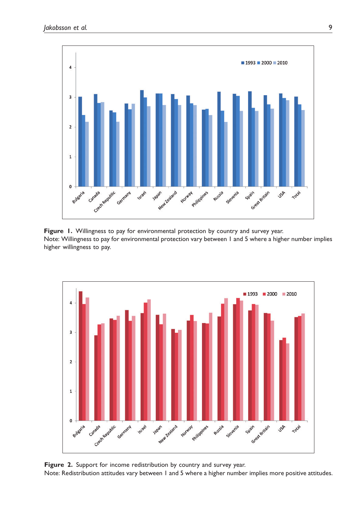

Figure 1. Willingness to pay for environmental protection by country and survey year. Note: Willingness to pay for environmental protection vary between 1 and 5 where a higher number implies higher willingness to pay.



Figure 2. Support for income redistribution by country and survey year. Note: Redistribution attitudes vary between 1 and 5 where a higher number implies more positive attitudes.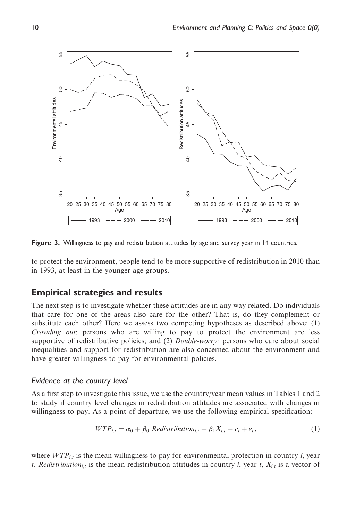

Figure 3. Willingness to pay and redistribution attitudes by age and survey year in 14 countries.

to protect the environment, people tend to be more supportive of redistribution in 2010 than in 1993, at least in the younger age groups.

# Empirical strategies and results

The next step is to investigate whether these attitudes are in any way related. Do individuals that care for one of the areas also care for the other? That is, do they complement or substitute each other? Here we assess two competing hypotheses as described above: (1) Crowding out: persons who are willing to pay to protect the environment are less supportive of redistributive policies; and (2) *Double-worry*: persons who care about social inequalities and support for redistribution are also concerned about the environment and have greater willingness to pay for environmental policies.

# Evidence at the country level

As a first step to investigate this issue, we use the country/year mean values in Tables 1 and 2 to study if country level changes in redistribution attitudes are associated with changes in willingness to pay. As a point of departure, we use the following empirical specification:

$$
WTP_{i,t} = \alpha_0 + \beta_0 \; \text{Redistribution}_{i,t} + \beta_1 X_{i,t} + c_i + e_{i,t} \tag{1}
$$

where  $WTP_{i,t}$  is the mean willingness to pay for environmental protection in country i, year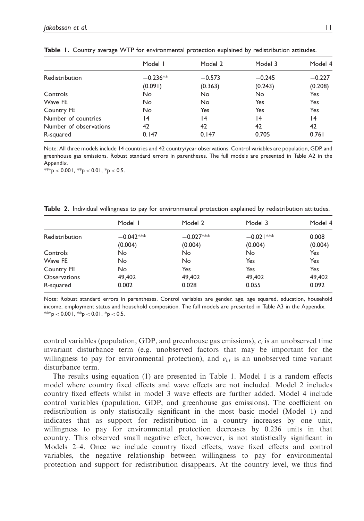|                        | Model I    | Model 2  | Model 3  | Model 4  |
|------------------------|------------|----------|----------|----------|
| Redistribution         | $-0.236**$ | $-0.573$ | $-0.245$ | $-0.227$ |
|                        | (0.091)    | (0.363)  | (0.243)  | (0.208)  |
| Controls               | No         | No       | No       | Yes      |
| Wave FE                | No         | No       | Yes      | Yes      |
| Country FE             | No         | Yes      | Yes      | Yes      |
| Number of countries    | 14         | 14       | 14       | 4        |
| Number of observations | 42         | 42       | 42       | 42       |
| R-squared              | 0.147      | 0.147    | 0.705    | 0.761    |

Table 1. Country average WTP for environmental protection explained by redistribution attitudes.

Note: All three models include 14 countries and 42 country/year observations. Control variables are population, GDP, and greenhouse gas emissions. Robust standard errors in parentheses. The full models are presented in Table A2 in the Appendix.

\*\*\*p < 0.001, \*\*p < 0.01, \*p < 0.5.

|                     | Model I     | Model 2     | Model 3     | Model 4 |
|---------------------|-------------|-------------|-------------|---------|
| Redistribution      | $-0.042***$ | $-0.027***$ | $-0.021***$ | 0.008   |
|                     | (0.004)     | (0.004)     | (0.004)     | (0.004) |
| Controls            | No          | No          | No          | Yes     |
| Wave FE             | No          | No          | Yes         | Yes     |
| Country FE          | No          | Yes         | Yes         | Yes     |
| <b>Observations</b> | 49.402      | 49,402      | 49.402      | 49.402  |
| R-squared           | 0.002       | 0.028       | 0.055       | 0.092   |

|  |  |  |  |  |  | Table 2. Individual willingness to pay for environmental protection explained by redistribution attitudes. |  |  |  |  |  |
|--|--|--|--|--|--|------------------------------------------------------------------------------------------------------------|--|--|--|--|--|
|--|--|--|--|--|--|------------------------------------------------------------------------------------------------------------|--|--|--|--|--|

Note: Robust standard errors in parentheses. Control variables are gender, age, age squared, education, household income, employment status and household composition. The full models are presented in Table A3 in the Appendix. \*\*\*p < 0.001, \*\*p < 0.01, \*p < 0.5.

control variables (population, GDP, and greenhouse gas emissions),  $c_i$  is an unobserved time invariant disturbance term (e.g. unobserved factors that may be important for the willingness to pay for environmental protection), and  $e_{i,t}$  is an unobserved time variant disturbance term.

The results using equation (1) are presented in Table 1. Model 1 is a random effects model where country fixed effects and wave effects are not included. Model 2 includes country fixed effects whilst in model 3 wave effects are further added. Model 4 include control variables (population, GDP, and greenhouse gas emissions). The coefficient on redistribution is only statistically significant in the most basic model (Model 1) and indicates that as support for redistribution in a country increases by one unit, willingness to pay for environmental protection decreases by 0.236 units in that country. This observed small negative effect, however, is not statistically significant in Models 2–4. Once we include country fixed effects, wave fixed effects and control variables, the negative relationship between willingness to pay for environmental protection and support for redistribution disappears. At the country level, we thus find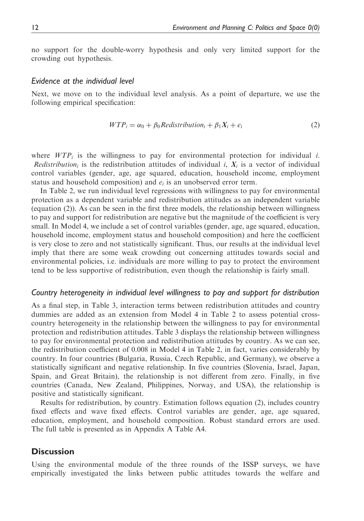no support for the double-worry hypothesis and only very limited support for the crowding out hypothesis.

#### Evidence at the individual level

Next, we move on to the individual level analysis. As a point of departure, we use the following empirical specification:

$$
WTP_i = \alpha_0 + \beta_0 \text{Redistribution}_i + \beta_1 X_i + e_i \tag{2}
$$

where  $WTP_i$  is the willingness to pay for environmental protection for individual i. *Redistribution*<sub>i</sub> is the redistribution attitudes of individual i,  $X_i$  is a vector of individual control variables (gender, age, age squared, education, household income, employment status and household composition) and  $e_i$  is an unobserved error term.

In Table 2, we run individual level regressions with willingness to pay for environmental protection as a dependent variable and redistribution attitudes as an independent variable (equation (2)). As can be seen in the first three models, the relationship between willingness to pay and support for redistribution are negative but the magnitude of the coefficient is very small. In Model 4, we include a set of control variables (gender, age, age squared, education, household income, employment status and household composition) and here the coefficient is very close to zero and not statistically significant. Thus, our results at the individual level imply that there are some weak crowding out concerning attitudes towards social and environmental policies, i.e. individuals are more willing to pay to protect the environment tend to be less supportive of redistribution, even though the relationship is fairly small.

#### Country heterogeneity in individual level willingness to pay and support for distribution

As a final step, in Table 3, interaction terms between redistribution attitudes and country dummies are added as an extension from Model 4 in Table 2 to assess potential crosscountry heterogeneity in the relationship between the willingness to pay for environmental protection and redistribution attitudes. Table 3 displays the relationship between willingness to pay for environmental protection and redistribution attitudes by country. As we can see, the redistribution coefficient of 0.008 in Model 4 in Table 2, in fact, varies considerably by country. In four countries (Bulgaria, Russia, Czech Republic, and Germany), we observe a statistically significant and negative relationship. In five countries (Slovenia, Israel, Japan, Spain, and Great Britain), the relationship is not different from zero. Finally, in five countries (Canada, New Zealand, Philippines, Norway, and USA), the relationship is positive and statistically significant.

Results for redistribution, by country. Estimation follows equation (2), includes country fixed effects and wave fixed effects. Control variables are gender, age, age squared, education, employment, and household composition. Robust standard errors are used. The full table is presented as in Appendix A Table A4.

# **Discussion**

Using the environmental module of the three rounds of the ISSP surveys, we have empirically investigated the links between public attitudes towards the welfare and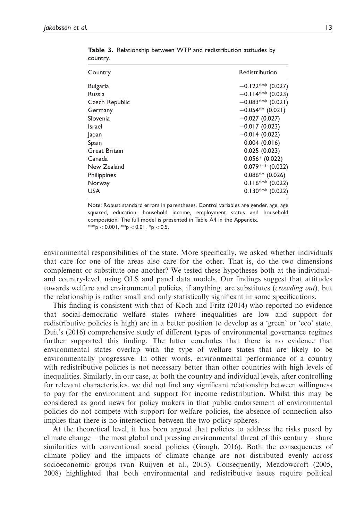| Country         | Redistribution       |
|-----------------|----------------------|
| <b>Bulgaria</b> | $-0.122***$ (0.027)  |
| Russia          | $-0.114$ ** (0.023)  |
| Czech Republic  | $-0.083$ *** (0.021) |
| Germany         | $-0.054**$ (0.021)   |
| Slovenia        | $-0.027(0.027)$      |
| Israel          | $-0.017(0.023)$      |
| Japan           | $-0.014(0.022)$      |
| Spain           | 0.004(0.016)         |
| Great Britain   | 0.025(0.023)         |
| Canada          | $0.056*$ (0.022)     |
| New Zealand     | $0.079$ ** (0.022)   |
| Philippines     | $0.086**$ (0.026)    |
| Norway          | $0.116$ ** (0.022)   |
| <b>USA</b>      | $0.130$ ** (0.022)   |
|                 |                      |

Table 3. Relationship between WTP and redistribution attitudes by country.

Note: Robust standard errors in parentheses. Control variables are gender, age, age squared, education, household income, employment status and household composition. The full model is presented in Table A4 in the Appendix. \*\*\*p < 0.001, \*\*p < 0.01, \*p < 0.5.

environmental responsibilities of the state. More specifically, we asked whether individuals that care for one of the areas also care for the other. That is, do the two dimensions complement or substitute one another? We tested these hypotheses both at the individualand country-level, using OLS and panel data models. Our findings suggest that attitudes towards welfare and environmental policies, if anything, are substitutes (*crowding out*), but the relationship is rather small and only statistically significant in some specifications.

This finding is consistent with that of Koch and Fritz (2014) who reported no evidence that social-democratic welfare states (where inequalities are low and support for redistributive policies is high) are in a better position to develop as a 'green' or 'eco' state. Duit's (2016) comprehensive study of different types of environmental governance regimes further supported this finding. The latter concludes that there is no evidence that environmental states overlap with the type of welfare states that are likely to be environmentally progressive. In other words, environmental performance of a country with redistributive policies is not necessary better than other countries with high levels of inequalities. Similarly, in our case, at both the country and individual levels, after controlling for relevant characteristics, we did not find any significant relationship between willingness to pay for the environment and support for income redistribution. Whilst this may be considered as good news for policy makers in that public endorsement of environmental policies do not compete with support for welfare policies, the absence of connection also implies that there is no intersection between the two policy spheres.

At the theoretical level, it has been argued that policies to address the risks posed by climate change – the most global and pressing environmental threat of this century – share similarities with conventional social policies (Gough, 2016). Both the consequences of climate policy and the impacts of climate change are not distributed evenly across socioeconomic groups (van Ruijven et al., 2015). Consequently, Meadowcroft (2005, 2008) highlighted that both environmental and redistributive issues require political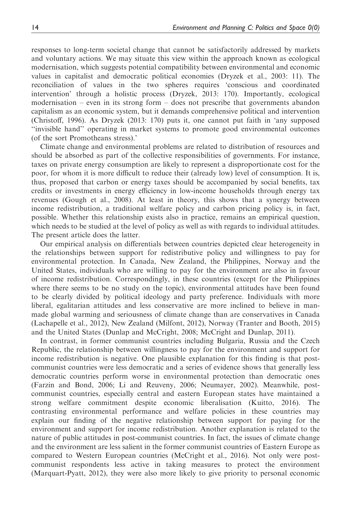responses to long-term societal change that cannot be satisfactorily addressed by markets and voluntary actions. We may situate this view within the approach known as ecological modernisation, which suggests potential compatibility between environmental and economic values in capitalist and democratic political economies (Dryzek et al., 2003: 11). The reconciliation of values in the two spheres requires 'conscious and coordinated intervention' through a holistic process (Dryzek, 2013: 170). Importantly, ecological modernisation – even in its strong form – does not prescribe that governments abandon capitalism as an economic system, but it demands comprehensive political and intervention (Christoff, 1996). As Dryzek (2013: 170) puts it, one cannot put faith in 'any supposed ''invisible hand'' operating in market systems to promote good environmental outcomes (of the sort Promotheans stress).'

Climate change and environmental problems are related to distribution of resources and should be absorbed as part of the collective responsibilities of governments. For instance, taxes on private energy consumption are likely to represent a disproportionate cost for the poor, for whom it is more difficult to reduce their (already low) level of consumption. It is, thus, proposed that carbon or energy taxes should be accompanied by social benefits, tax credits or investments in energy efficiency in low-income households through energy tax revenues (Gough et al., 2008). At least in theory, this shows that a synergy between income redistribution, a traditional welfare policy and carbon pricing policy is, in fact, possible. Whether this relationship exists also in practice, remains an empirical question, which needs to be studied at the level of policy as well as with regards to individual attitudes. The present article does the latter.

Our empirical analysis on differentials between countries depicted clear heterogeneity in the relationships between support for redistributive policy and willingness to pay for environmental protection. In Canada, New Zealand, the Philippines, Norway and the United States, individuals who are willing to pay for the environment are also in favour of income redistribution. Correspondingly, in these countries (except for the Philippines where there seems to be no study on the topic), environmental attitudes have been found to be clearly divided by political ideology and party preference. Individuals with more liberal, egalitarian attitudes and less conservative are more inclined to believe in manmade global warming and seriousness of climate change than are conservatives in Canada (Lachapelle et al., 2012), New Zealand (Milfont, 2012), Norway (Tranter and Booth, 2015) and the United States (Dunlap and McCright, 2008; McCright and Dunlap, 2011).

In contrast, in former communist countries including Bulgaria, Russia and the Czech Republic, the relationship between willingness to pay for the environment and support for income redistribution is negative. One plausible explanation for this finding is that postcommunist countries were less democratic and a series of evidence shows that generally less democratic countries perform worse in environmental protection than democratic ones (Farzin and Bond, 2006; Li and Reuveny, 2006; Neumayer, 2002). Meanwhile, postcommunist countries, especially central and eastern European states have maintained a strong welfare commitment despite economic liberalisation (Kuitto, 2016). The contrasting environmental performance and welfare policies in these countries may explain our finding of the negative relationship between support for paying for the environment and support for income redistribution. Another explanation is related to the nature of public attitudes in post-communist countries. In fact, the issues of climate change and the environment are less salient in the former communist countries of Eastern Europe as compared to Western European countries (McCright et al., 2016). Not only were postcommunist respondents less active in taking measures to protect the environment (Marquart-Pyatt, 2012), they were also more likely to give priority to personal economic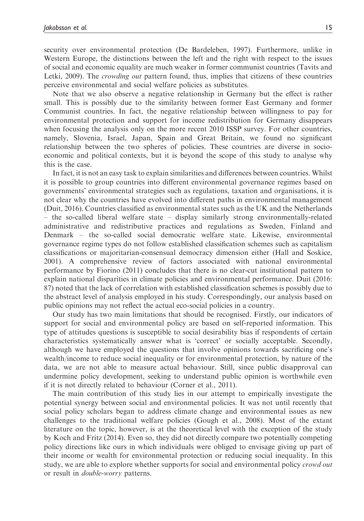security over environmental protection (De Bardeleben, 1997). Furthermore, unlike in Western Europe, the distinctions between the left and the right with respect to the issues of social and economic equality are much weaker in former communist countries (Tavits and Letki, 2009). The *crowding out* pattern found, thus, implies that citizens of these countries perceive environmental and social welfare policies as substitutes.

Note that we also observe a negative relationship in Germany but the effect is rather small. This is possibly due to the similarity between former East Germany and former Communist countries. In fact, the negative relationship between willingness to pay for environmental protection and support for income redistribution for Germany disappears when focusing the analysis only on the more recent 2010 ISSP survey. For other countries, namely, Slovenia, Israel, Japan, Spain and Great Britain, we found no significant relationship between the two spheres of policies. These countries are diverse in socioeconomic and political contexts, but it is beyond the scope of this study to analyse why this is the case.

In fact, it is not an easy task to explain similarities and differences between countries. Whilst it is possible to group countries into different environmental governance regimes based on governments' environmental strategies such as regulations, taxation and organisations, it is not clear why the countries have evolved into different paths in environmental management (Duit, 2016). Countries classified as environmental states such as the UK and the Netherlands – the so-called liberal welfare state – display similarly strong environmentally-related administrative and redistributive practices and regulations as Sweden, Finland and Denmark – the so-called social democratic welfare state. Likewise, environmental governance regime types do not follow established classification schemes such as capitalism classifications or majoritarian-consensual democracy dimension either (Hall and Soskice, 2001). A comprehensive review of factors associated with national environmental performance by Fiorino (2011) concludes that there is no clear-cut institutional pattern to explain national disparities in climate policies and environmental performance. Duit (2016: 87) noted that the lack of correlation with established classification schemes is possibly due to the abstract level of analysis employed in his study. Correspondingly, our analysis based on public opinions may not reflect the actual eco-social policies in a country.

Our study has two main limitations that should be recognised. Firstly, our indicators of support for social and environmental policy are based on self-reported information. This type of attitudes questions is susceptible to social desirability bias if respondents of certain characteristics systematically answer what is 'correct' or socially acceptable. Secondly, although we have employed the questions that involve opinions towards sacrificing one's wealth/income to reduce social inequality or for environmental protection, by nature of the data, we are not able to measure actual behaviour. Still, since public disapproval can undermine policy development, seeking to understand public opinion is worthwhile even if it is not directly related to behaviour (Corner et al., 2011).

The main contribution of this study lies in our attempt to empirically investigate the potential synergy between social and environmental policies. It was not until recently that social policy scholars began to address climate change and environmental issues as new challenges to the traditional welfare policies (Gough et al., 2008). Most of the extant literature on the topic, however, is at the theoretical level with the exception of the study by Koch and Fritz (2014). Even so, they did not directly compare two potentially competing policy directions like ours in which individuals were obliged to envisage giving up part of their income or wealth for environmental protection or reducing social inequality. In this study, we are able to explore whether supports for social and environmental policy *crowd out* or result in double-worry patterns.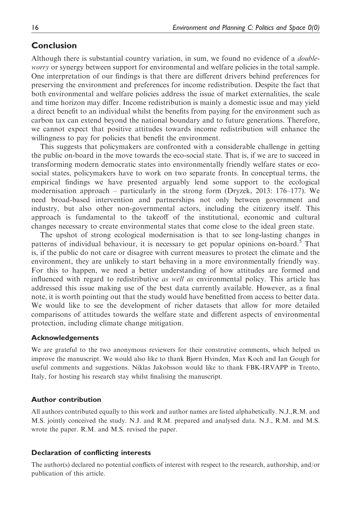# Conclusion

Although there is substantial country variation, in sum, we found no evidence of a *double*worry or synergy between support for environmental and welfare policies in the total sample. One interpretation of our findings is that there are different drivers behind preferences for preserving the environment and preferences for income redistribution. Despite the fact that both environmental and welfare policies address the issue of market externalities, the scale and time horizon may differ. Income redistribution is mainly a domestic issue and may yield a direct benefit to an individual whilst the benefits from paying for the environment such as carbon tax can extend beyond the national boundary and to future generations. Therefore, we cannot expect that positive attitudes towards income redistribution will enhance the willingness to pay for policies that benefit the environment.

This suggests that policymakers are confronted with a considerable challenge in getting the public on-board in the move towards the eco-social state. That is, if we are to succeed in transforming modern democratic states into environmentally friendly welfare states or ecosocial states, policymakers have to work on two separate fronts. In conceptual terms, the empirical findings we have presented arguably lend some support to the ecological modernisation approach – particularly in the strong form (Dryzek, 2013: 176–177). We need broad-based intervention and partnerships not only between government and industry, but also other non-governmental actors, including the citizenry itself. This approach is fundamental to the takeoff of the institutional, economic and cultural changes necessary to create environmental states that come close to the ideal green state.

The upshot of strong ecological modernisation is that to see long-lasting changes in patterns of individual behaviour, it is necessary to get popular opinions on-board.<sup>5</sup> That is, if the public do not care or disagree with current measures to protect the climate and the environment, they are unlikely to start behaving in a more environmentally friendly way. For this to happen, we need a better understanding of how attitudes are formed and influenced with regard to redistributive as well as environmental policy. This article has addressed this issue making use of the best data currently available. However, as a final note, it is worth pointing out that the study would have benefitted from access to better data. We would like to see the development of richer datasets that allow for more detailed comparisons of attitudes towards the welfare state and different aspects of environmental protection, including climate change mitigation.

#### Acknowledgements

We are grateful to the two anonymous reviewers for their construtive comments, which helped us improve the manuscript. We would also like to thank Bjørn Hvinden, Max Koch and Ian Gough for useful comments and suggestions. Niklas Jakobsson would like to thank FBK-IRVAPP in Trento, Italy, for hosting his research stay whilst finalising the manuscript.

#### Author contribution

All authors contributed equally to this work and author names are listed alphabetically. N.J.,R.M. and M.S. jointly conceived the study. N.J. and R.M. prepared and analysed data. N.J., R.M. and M.S. wrote the paper. R.M. and M.S. revised the paper.

#### Declaration of conflicting interests

The author(s) declared no potential conflicts of interest with respect to the research, authorship, and/or publication of this article.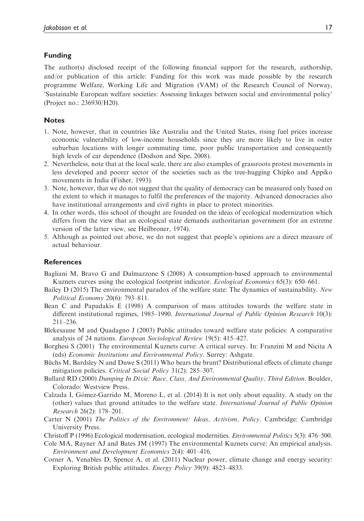### Funding

The author(s) disclosed receipt of the following financial support for the research, authorship, and/or publication of this article: Funding for this work was made possible by the research programme Welfare, Working Life and Migration (VAM) of the Research Council of Norway, 'Sustainable European welfare societies: Assessing linkages between social and environmental policy' (Project no.: 236930/H20).

#### **Notes**

- 1. Note, however, that in countries like Australia and the United States, rising fuel prices increase economic vulnerability of low-income households since they are more likely to live in outer suburban locations with longer commuting time, poor public transportation and consequently high levels of car dependence (Dodson and Sipe, 2008).
- 2. Nevertheless, note that at the local scale, there are also examples of grassroots protest movements in less developed and poorer sector of the societies such as the tree-hugging Chipko and Appiko movements in India (Fisher, 1993).
- 3. Note, however, that we do not suggest that the quality of democracy can be measured only based on the extent to which it manages to fulfil the preferences of the majority. Advanced democracies also have institutional arrangements and civil rights in place to protect minorities.
- 4. In other words, this school of thought are founded on the ideas of ecological modernization which differs from the view that an ecological state demands authoritarian government (for an extreme version of the latter view, see Heilbroner, 1974).
- 5. Although as pointed out above, we do not suggest that people's opinions are a direct measure of actual behaviour.

#### **References**

- Bagliani M, Bravo G and Dalmazzone S (2008) A consumption-based approach to environmental Kuznets curves using the ecological footprint indicator. *Ecological Economics* 65(3): 650–661.
- Bailey D (2015) The environmental paradox of the welfare state: The dynamics of sustainability. New Political Economy 20(6): 793–811.
- Bean C and Papadakis E (1998) A comparison of mass attitudes towards the welfare state in different institutional regimes, 1985–1990. International Journal of Public Opinion Research 10(3): 211–236.
- Blekesaune M and Quadagno J (2003) Public attitudes toward welfare state policies: A comparative analysis of 24 nations. European Sociological Review 19(5): 415–427.
- Borghesi S (2001) The environmental Kuznets curve: A critical survey. In: Franzini M and Nicita A (eds) Economic Institutions and Environmental Policy. Surrey: Ashgate.
- Büchs M, Bardsley N and Duwe S (2011) Who bears the brunt? Distributional effects of climate change mitigation policies. Critical Social Policy 31(2): 285–307.
- Bullard RD (2000) Dumping In Dixie: Race, Class, And Environmental Quality, Third Edition. Boulder, Colorado: Westview Press.
- Calzada I, Gómez-Garrido M, Moreno L, et al. (2014) It is not only about equality. A study on the (other) values that ground attitudes to the welfare state. International Journal of Public Opinion Research 26(2): 178–201.
- Carter N (2001) The Politics of the Environment: Ideas, Activism, Policy. Cambridge: Cambridge University Press.
- Christoff P (1996) Ecological modernisation, ecological modernities. Environmental Politics 5(3): 476–500.
- Cole MA, Rayner AJ and Bates JM (1997) The environmental Kuznets curve: An empirical analysis. Environment and Development Economics 2(4): 401–416.
- Corner A, Venables D, Spence A, et al. (2011) Nuclear power, climate change and energy security: Exploring British public attitudes. Energy Policy 39(9): 4823–4833.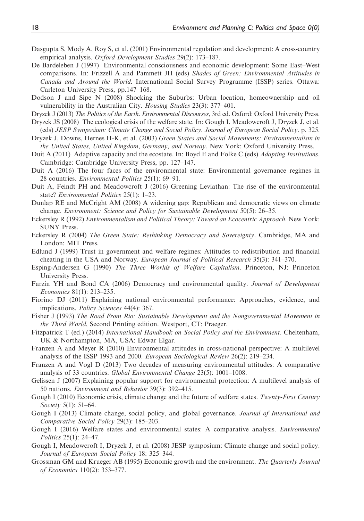- Dasgupta S, Mody A, Roy S, et al. (2001) Environmental regulation and development: A cross-country empirical analysis. Oxford Development Studies 29(2): 173–187.
- De Bardeleben J (1997) Environmental consciousness and economic development: Some East–West comparisons. In: Frizzell A and Pammett JH (eds) Shades of Green: Environmental Attitudes in Canada and Around the World. International Social Survey Programme (ISSP) series. Ottawa: Carleton University Press, pp.147–168.
- Dodson J and Sipe N (2008) Shocking the Suburbs: Urban location, homeownership and oil vulnerability in the Australian City. Housing Studies 23(3): 377–401.
- Dryzek J (2013) The Politics of the Earth. Environmental Discourses, 3rd ed. Oxford: Oxford University Press.
- Dryzek JS (2008) The ecological crisis of the welfare state. In: Gough I, Meadowcroft J, Dryzek J, et al. (eds) JESP Symposium: Climate Change and Social Policy. Journal of European Social Policy. p. 325.
- Dryzek J, Downs, Hernes H-K, et al. (2003) Green States and Social Movements: Environmentalism in the United States, United Kingdom, Germany, and Norway. New York: Oxford University Press.
- Duit A (2011) Adaptive capacity and the ecostate. In: Boyd E and Folke C (eds) Adapting Institutions. Cambridge: Cambridge University Press, pp. 127–147.
- Duit A (2016) The four faces of the environmental state: Environmental governance regimes in 28 countries. Environmental Politics 25(1): 69–91.
- Duit A, Feindt PH and Meadowcroft J (2016) Greening Leviathan: The rise of the environmental state? Environmental Politics 25(1): 1–23.
- Dunlap RE and McCright AM (2008) A widening gap: Republican and democratic views on climate change. Environment: Science and Policy for Sustainable Development 50(5): 26–35.
- Eckersley R (1992) Environmentalism and Political Theory: Toward an Ecocentric Approach. New York: SUNY Press.
- Eckersley R (2004) The Green State: Rethinking Democracy and Sovereignty. Cambridge, MA and London: MIT Press.
- Edlund J (1999) Trust in government and welfare regimes: Attitudes to redistribution and financial cheating in the USA and Norway. European Journal of Political Research 35(3): 341–370.
- Esping-Andersen G (1990) The Three Worlds of Welfare Capitalism. Princeton, NJ: Princeton University Press.
- Farzin YH and Bond CA (2006) Democracy and environmental quality. Journal of Development Economics 81(1): 213–235.
- Fiorino DJ (2011) Explaining national environmental performance: Approaches, evidence, and implications. Policy Sciences 44(4): 367.
- Fisher J (1993) The Road From Rio: Sustainable Development and the Nongovernmental Movement in the Third World, Second Printing edition. Westport, CT: Praeger.
- Fitzpatrick T (ed.) (2014) International Handbook on Social Policy and the Environment. Cheltenham, UK & Northampton, MA, USA: Edwar Elgar.
- Franzen A and Meyer R (2010) Environmental attitudes in cross-national perspective: A multilevel analysis of the ISSP 1993 and 2000. European Sociological Review 26(2): 219–234.
- Franzen A and Vogl D (2013) Two decades of measuring environmental attitudes: A comparative analysis of 33 countries. Global Environmental Change 23(5): 1001–1008.
- Gelissen J (2007) Explaining popular support for environmental protection: A multilevel analysis of 50 nations. Environment and Behavior 39(3): 392–415.
- Gough I (2010) Economic crisis, climate change and the future of welfare states. Twenty-First Century Society 5(1): 51–64.
- Gough I (2013) Climate change, social policy, and global governance. Journal of International and Comparative Social Policy 29(3): 185–203.
- Gough I (2016) Welfare states and environmental states: A comparative analysis. *Environmental* Politics 25(1): 24–47.
- Gough I, Meadowcroft I, Dryzek J, et al. (2008) JESP symposium: Climate change and social policy. Journal of European Social Policy 18: 325–344.
- Grossman GM and Krueger AB (1995) Economic growth and the environment. The Quarterly Journal of Economics 110(2): 353–377.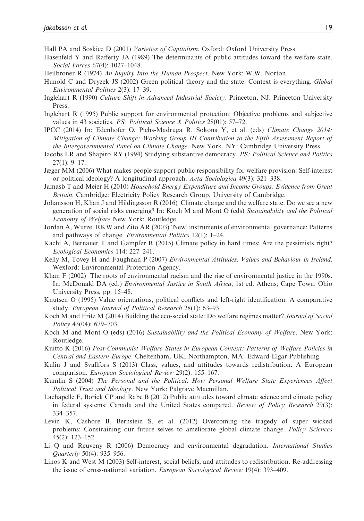Hall PA and Soskice D (2001) Varieties of Capitalism. Oxford: Oxford University Press.

- Hasenfeld Y and Rafferty JA (1989) The determinants of public attitudes toward the welfare state. Social Forces 67(4): 1027–1048.
- Heilbroner R (1974) An Inquiry Into the Human Prospect. New York: W.W. Norton.
- Hunold C and Dryzek JS (2002) Green political theory and the state: Context is everything. Global Environmental Politics 2(3): 17–39.
- Inglehart R (1990) Culture Shift in Advanced Industrial Society. Princeton, NJ: Princeton University Press.
- Inglehart R (1995) Public support for environmental protection: Objective problems and subjective values in 43 societies. PS: Political Science & Politics 28(01): 57-72.
- IPCC (2014) In: Edenhofer O, Pichs-Madruga R, Sokona Y, et al. (eds) Climate Change 2014: Mitigation of Climate Change: Working Group III Contribution to the Fifth Assessment Report of the Intergovernmental Panel on Climate Change. New York, NY: Cambridge University Press.
- Jacobs LR and Shapiro RY (1994) Studying substantive democracy. PS: Political Science and Politics 27(1): 9–17.
- Jæger MM (2006) What makes people support public responsibility for welfare provision: Self-interest or political ideology? A longitudinal approach. Acta Sociologica 49(3): 321–338.
- Jamasb T and Meier H (2010) Household Energy Expenditure and Income Groups: Evidence from Great Britain. Cambridge: Electricity Policy Research Group, University of Cambridge.
- Johansson H, Khan J and Hildingsson R (2016) Climate change and the welfare state. Do we see a new generation of social risks emerging? In: Koch M and Mont O (eds) Sustainability and the Political Economy of Welfare New York: Routledge.
- Jordan A, Wurzel RKW and Zito AR (2003) 'New' instruments of environmental governance: Patterns and pathways of change. Environmental Politics 12(1): 1–24.
- Kachi A, Bernauer T and Gampfer R (2015) Climate policy in hard times: Are the pessimists right? Ecological Economics 114: 227–241.
- Kelly M, Tovey H and Faughnan P (2007) Environmental Attitudes, Values and Behaviour in Ireland. Wexford: Environmental Protection Agency.
- Khan F (2002) The roots of environmental racism and the rise of environmental justice in the 1990s. In: McDonald DA (ed.) Environmental Justice in South Africa, 1st ed. Athens; Cape Town: Ohio University Press, pp. 15–48.
- Knutsen O (1995) Value orientations, political conflicts and left-right identification: A comparative study. European Journal of Political Research 28(1): 63–93.
- Koch M and Fritz M (2014) Building the eco-social state: Do welfare regimes matter? Journal of Social Policy 43(04): 679–703.
- Koch M and Mont O (eds) (2016) Sustainability and the Political Economy of Welfare. New York: Routledge.
- Kuitto K (2016) Post-Communist Welfare States in European Context: Patterns of Welfare Policies in Central and Eastern Europe. Cheltenham, UK; Northampton, MA: Edward Elgar Publishing.
- Kulin J and Svallfors S (2013) Class, values, and attitudes towards redistribution: A European comparison. European Sociological Review 29(2): 155–167.
- Kumlin S (2004) The Personal and the Political. How Personal Welfare State Experiences Affect Political Trust and Ideology. New York: Palgrave Macmillan.
- Lachapelle E, Borick CP and Rabe B (2012) Public attitudes toward climate science and climate policy in federal systems: Canada and the United States compared. Review of Policy Research 29(3): 334–357.
- Levin K, Cashore B, Bernstein S, et al. (2012) Overcoming the tragedy of super wicked problems: Constraining our future selves to ameliorate global climate change. Policy Sciences 45(2): 123–152.
- Li Q and Reuveny R (2006) Democracy and environmental degradation. *International Studies* Quarterly 50(4): 935–956.
- Linos K and West M (2003) Self-interest, social beliefs, and attitudes to redistribution. Re-addressing the issue of cross-national variation. European Sociological Review 19(4): 393–409.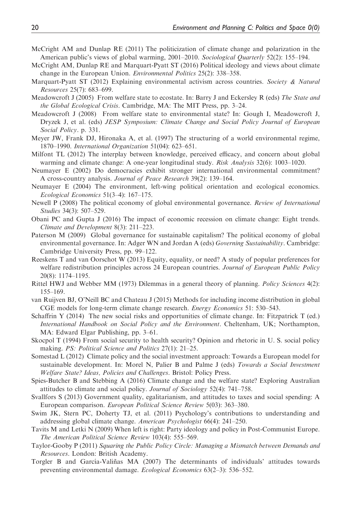- McCright AM and Dunlap RE (2011) The politicization of climate change and polarization in the American public's views of global warming, 2001–2010. Sociological Quarterly 52(2): 155–194.
- McCright AM, Dunlap RE and Marquart-Pyatt ST (2016) Political ideology and views about climate change in the European Union. Environmental Politics 25(2): 338–358.
- Marquart-Pyatt ST (2012) Explaining environmental activism across countries. Society & Natural Resources 25(7): 683–699.
- Meadowcroft J (2005) From welfare state to ecostate. In: Barry J and Eckersley R (eds) The State and the Global Ecological Crisis. Cambridge, MA: The MIT Press, pp. 3–24.
- Meadowcroft J (2008) From welfare state to environmental state? In: Gough I, Meadowcroft J, Dryzek J, et al. (eds) JESP Symposium: Climate Change and Social Policy Journal of European Social Policy. p. 331.
- Meyer JW, Frank DJ, Hironaka A, et al. (1997) The structuring of a world environmental regime, 1870–1990. International Organization 51(04): 623–651.
- Milfont TL (2012) The interplay between knowledge, perceived efficacy, and concern about global warming and climate change: A one-year longitudinal study. Risk Analysis 32(6): 1003–1020.
- Neumayer E (2002) Do democracies exhibit stronger international environmental commitment? A cross-country analysis. Journal of Peace Research 39(2): 139–164.
- Neumayer E (2004) The environment, left-wing political orientation and ecological economics. Ecological Economics 51(3–4): 167–175.
- Newell P (2008) The political economy of global environmental governance. Review of International Studies 34(3): 507–529.
- Obani PC and Gupta J (2016) The impact of economic recession on climate change: Eight trends. Climate and Development 8(3): 211–223.
- Paterson M (2009) Global governance for sustainable capitalism? The political economy of global environmental governance. In: Adger WN and Jordan A (eds) Governing Sustainability. Cambridge: Cambridge University Press, pp. 99–122.
- Reeskens T and van Oorschot W (2013) Equity, equality, or need? A study of popular preferences for welfare redistribution principles across 24 European countries. Journal of European Public Policy 20(8): 1174–1195.
- Rittel HWJ and Webber MM (1973) Dilemmas in a general theory of planning. *Policy Sciences* 4(2): 155–169.
- van Ruijven BJ, O'Neill BC and Chateau J (2015) Methods for including income distribution in global CGE models for long-term climate change research. Energy Economics 51: 530–543.
- Schaffrin Y (2014) The new social risks and opportunities of climate change. In: Fitzpatrick T (ed.) International Handbook on Social Policy and the Environment. Cheltenham, UK; Northampton, MA: Edward Elgar Publishing, pp. 3–61.
- Skocpol T (1994) From social security to health security? Opinion and rhetoric in U. S. social policy making. *PS: Political Science and Politics 27(1): 21–25.*
- Somestad L (2012) Climate policy and the social investment approach: Towards a European model for sustainable development. In: Morel N, Palier B and Palme J (eds) Towards a Social Investment Welfare State? Ideas, Policies and Challenges. Bristol: Policy Press.
- Spies-Butcher B and Stebbing A (2016) Climate change and the welfare state? Exploring Australian attitudes to climate and social policy. Journal of Sociology 52(4): 741–758.
- Svallfors S (2013) Government quality, egalitarianism, and attitudes to taxes and social spending: A European comparison. European Political Science Review 5(03): 363–380.
- Swim JK, Stern PC, Doherty TJ, et al. (2011) Psychology's contributions to understanding and addressing global climate change. American Psychologist 66(4): 241–250.
- Tavits M and Letki N (2009) When left is right: Party ideology and policy in Post-Communist Europe. The American Political Science Review 103(4): 555–569.
- Taylor-Gooby P (2011) Squaring the Public Policy Circle: Managing a Mismatch between Demands and Resources. London: British Academy.
- Torgler B and García-Valiñas MA (2007) The determinants of individuals' attitudes towards preventing environmental damage. Ecological Economics 63(2–3): 536–552.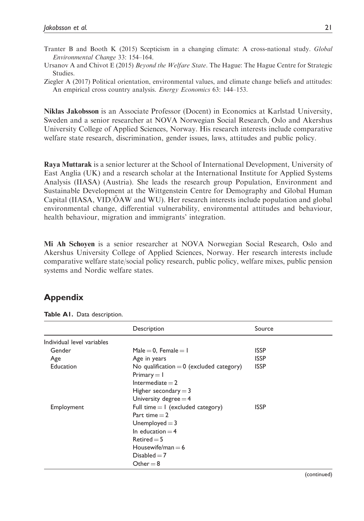- Tranter B and Booth K (2015) Scepticism in a changing climate: A cross-national study. Global Environmental Change 33: 154–164.
- Ursanov A and Chivot E (2015) Beyond the Welfare State. The Hague: The Hague Centre for Strategic Studies.
- Ziegler A (2017) Political orientation, environmental values, and climate change beliefs and attitudes: An empirical cross country analysis. *Energy Economics* 63: 144–153.

Niklas Jakobsson is an Associate Professor (Docent) in Economics at Karlstad University, Sweden and a senior researcher at NOVA Norwegian Social Research, Oslo and Akershus University College of Applied Sciences, Norway. His research interests include comparative welfare state research, discrimination, gender issues, laws, attitudes and public policy.

Raya Muttarak is a senior lecturer at the School of International Development, University of East Anglia (UK) and a research scholar at the International Institute for Applied Systems Analysis (IIASA) (Austria). She leads the research group Population, Environment and Sustainable Development at the Wittgenstein Centre for Demography and Global Human Capital (IIASA, VID/OAW and WU). Her research interests include population and global environmental change, differential vulnerability, environmental attitudes and behaviour, health behaviour, migration and immigrants' integration.

Mi Ah Schoyen is a senior researcher at NOVA Norwegian Social Research, Oslo and Akershus University College of Applied Sciences, Norway. Her research interests include comparative welfare state/social policy research, public policy, welfare mixes, public pension systems and Nordic welfare states.

# Appendix

|                            | Description                                                                                                                                                              | Source      |
|----------------------------|--------------------------------------------------------------------------------------------------------------------------------------------------------------------------|-------------|
| Individual level variables |                                                                                                                                                                          |             |
| Gender                     | Male $=$ 0. Female $=$ 1                                                                                                                                                 | <b>ISSP</b> |
| Age                        | Age in years                                                                                                                                                             | <b>ISSP</b> |
| Education                  | No qualification $= 0$ (excluded category)<br>Primary $= 1$<br>Intermediate $=$ 2<br>Higher secondary $=$ 3<br>University degree $=$ 4                                   | <b>ISSP</b> |
| Employment                 | Full time $= 1$ (excluded category)<br>Part time $= 2$<br>Unemployed $=$ 3<br>In education $=$ 4<br>$Retired = 5$<br>Housewife/man $= 6$<br>Disabled $=7$<br>Other $= 8$ | <b>ISSP</b> |

Table A1. Data description.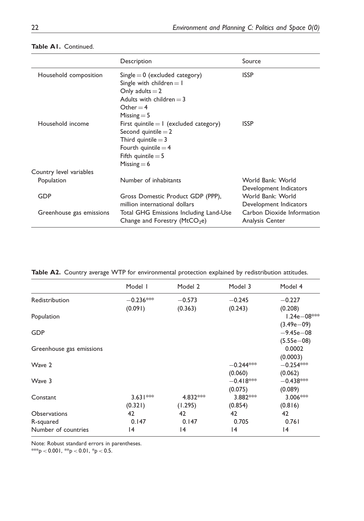|                          | Description                                                                                                                                                 | Source                                        |
|--------------------------|-------------------------------------------------------------------------------------------------------------------------------------------------------------|-----------------------------------------------|
| Household composition    | Single $= 0$ (excluded category)<br>Single with children $=$ I<br>Only adults $=$ 2<br>Adults with children $=$ 3<br>Other $=$ 4<br>Missing $=$ 5           | <b>ISSP</b>                                   |
| Household income         | First quintile $= 1$ (excluded category)<br>Second quintile $=$ 2<br>Third quintile $=$ 3<br>Fourth quintile $=$ 4<br>Fifth quintile $=$ 5<br>Missing $= 6$ | <b>ISSP</b>                                   |
| Country level variables  |                                                                                                                                                             |                                               |
| Population               | Number of inhabitants                                                                                                                                       | World Bank: World<br>Development Indicators   |
| <b>GDP</b>               | Gross Domestic Product GDP (PPP),<br>million international dollars                                                                                          | World Bank: World<br>Development Indicators   |
| Greenhouse gas emissions | Total GHG Emissions Including Land-Use<br>Change and Forestry ( $MtCO2e$ )                                                                                  | Carbon Dioxide Information<br>Analysis Center |

# Table AI. Continued.

|                          | Model I         | Model 2  | Model 3     | Model 4         |
|--------------------------|-----------------|----------|-------------|-----------------|
| Redistribution           | $-0.236***$     | $-0.573$ | $-0.245$    | $-0.227$        |
|                          | (0.091)         | (0.363)  | (0.243)     | (0.208)         |
| Population               |                 |          |             | $1.24e - 08***$ |
|                          |                 |          |             | $(3.49e - 09)$  |
| <b>GDP</b>               |                 |          |             | $-9.45e - 08$   |
|                          |                 |          |             | $(5.55e-08)$    |
| Greenhouse gas emissions |                 |          |             | 0.0002          |
|                          |                 |          |             | (0.0003)        |
| Wave 2                   |                 |          | $-0.244***$ | $-0.254***$     |
|                          |                 |          | (0.060)     | (0.062)         |
| Wave 3                   |                 |          | $-0.418***$ | $-0.438***$     |
|                          |                 |          | (0.075)     | (0.089)         |
| Constant                 | $3.631***$      | 4.832*** | 3.882***    | $3.006***$      |
|                          | (0.321)         | (1.295)  | (0.854)     | (0.816)         |
| <b>Observations</b>      | 42              | 42       | 42          | 42              |
| R-squared                | 0.147           | 0.147    | 0.705       | 0.761           |
| Number of countries      | $\overline{14}$ | 14       | 14          | $\overline{14}$ |

Note: Robust standard errors in parentheses.

\*\*\*p < 0.001, \*\*p < 0.01, \*p < 0.5.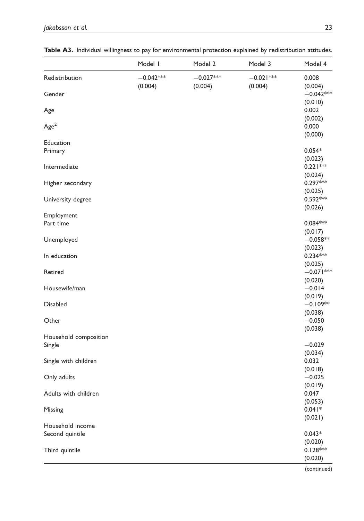| Model I                | Model 2                | Model 3                | Model 4                          |
|------------------------|------------------------|------------------------|----------------------------------|
| $-0.042***$<br>(0.004) | $-0.027***$<br>(0.004) | $-0.021***$<br>(0.004) | 0.008<br>(0.004)<br>$-0.042***$  |
|                        |                        |                        | (0.010)<br>0.002                 |
|                        |                        |                        | (0.002)<br>0.000<br>(0.000)      |
|                        |                        |                        | $0.054*$                         |
|                        |                        |                        | (0.023)<br>$0.221***$            |
|                        |                        |                        | (0.024)<br>0.297***<br>(0.025)   |
|                        |                        |                        | 0.592***<br>(0.026)              |
|                        |                        |                        | $0.084***$                       |
|                        |                        |                        | (0.017)<br>$-0.058**$            |
|                        |                        |                        | (0.023)<br>$0.234***$<br>(0.025) |
|                        |                        |                        | $-0.071***$<br>(0.020)           |
|                        |                        |                        | $-0.014$<br>(0.019)              |
|                        |                        |                        | $-0.109**$<br>(0.038)            |
|                        |                        |                        | $-0.050$<br>(0.038)              |
|                        |                        |                        | $-0.029$                         |
|                        |                        |                        | (0.034)<br>0.032<br>(0.018)      |
|                        |                        |                        | $-0.025$<br>(0.019)              |
|                        |                        |                        | 0.047<br>(0.053)                 |
|                        |                        |                        | $0.041*$<br>(0.021)              |
|                        |                        |                        | $0.043*$                         |
|                        |                        |                        | (0.020)<br>$0.128***$<br>(0.020) |
|                        |                        |                        |                                  |

| Table A3. Individual willingness to pay for environmental protection explained by redistribution attitudes. |  |  |
|-------------------------------------------------------------------------------------------------------------|--|--|
|-------------------------------------------------------------------------------------------------------------|--|--|

(continued)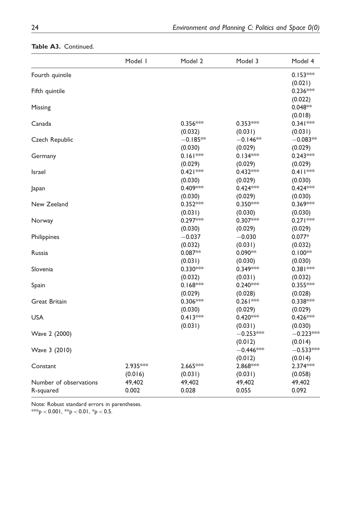|                        | Model I  | Model 2               | Model 3               | Model 4               |
|------------------------|----------|-----------------------|-----------------------|-----------------------|
| Fourth quintile        |          |                       |                       | $0.153***$            |
|                        |          |                       |                       | (0.021)               |
| Fifth quintile         |          |                       |                       | $0.236***$            |
|                        |          |                       |                       | (0.022)               |
| Missing                |          |                       |                       | $0.048**$             |
| Canada                 |          | $0.356***$            | $0.353***$            | (0.018)<br>$0.341***$ |
|                        |          | (0.032)               | (0.031)               | (0.031)               |
| Czech Republic         |          | $-0.185**$            | $-0.146**$            | $-0.083**$            |
|                        |          | (0.030)               | (0.029)               | (0.029)               |
| Germany                |          | $0.161***$            | $0.134***$            | $0.243***$            |
|                        |          | (0.029)               | (0.029)               | (0.029)               |
| Israel                 |          | $0.421***$            | $0.432***$            | $0.411***$            |
|                        |          | (0.030)               | (0.029)               | (0.030)               |
| Japan                  |          | $0.409***$            | $0.424***$            | $0.424***$            |
|                        |          | (0.030)<br>$0.352***$ | (0.029)<br>$0.350***$ | (0.030)<br>0.369***   |
| New Zeeland            |          | (0.031)               | (0.030)               | (0.030)               |
| Norway                 |          | 0.297***              | 0.307***              | $0.271***$            |
|                        |          | (0.030)               | (0.029)               | (0.029)               |
| Philippines            |          | $-0.037$              | $-0.030$              | $0.077*$              |
|                        |          | (0.032)               | (0.031)               | (0.032)               |
| Russia                 |          | $0.087**$             | 0.090**               | $0.100**$             |
|                        |          | (0.031)               | (0.030)               | (0.030)               |
| Slovenia               |          | $0.330***$            | $0.349***$            | $0.381***$            |
|                        |          | (0.032)               | (0.031)               | (0.032)               |
| Spain                  |          | $0.168***$            | $0.240***$            | $0.355***$            |
| Great Britain          |          | (0.029)<br>$0.306***$ | (0.028)<br>$0.261***$ | (0.028)<br>$0.338***$ |
|                        |          | (0.030)               | (0.029)               | (0.029)               |
| <b>USA</b>             |          | $0.413***$            | $0.420***$            | $0.426***$            |
|                        |          | (0.031)               | (0.031)               | (0.030)               |
| Wave 2 (2000)          |          |                       | $-0.253***$           | $-0.223***$           |
|                        |          |                       | (0.012)               | (0.014)               |
| Wave 3 (2010)          |          |                       | $-0.446***$           | $-0.533***$           |
|                        |          |                       | (0.012)               | (0.014)               |
| Constant               | 2.935*** | $2.665***$            | 2.868***              | 2.374***              |
|                        | (0.016)  | (0.031)               | (0.031)               | (0.058)               |
| Number of observations | 49,402   | 49,402                | 49,402                | 49,402                |
| R-squared              | 0.002    | 0.028                 | 0.055                 | 0.092                 |

|  | Table A3. Continued. |
|--|----------------------|
|--|----------------------|

Note: Robust standard errors in parentheses.

\*\*\* $p < 0.001$ , \*\* $p < 0.01$ , \* $p < 0.5$ .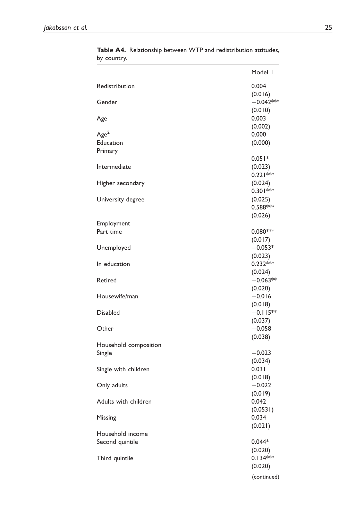|                       | Model I     |
|-----------------------|-------------|
| Redistribution        | 0.004       |
|                       | (0.016)     |
| Gender                | $-0.042***$ |
|                       | (0.010)     |
| Age                   | 0.003       |
|                       | (0.002)     |
| Age <sup>2</sup>      | 0.000       |
| Education             | (0.000)     |
| Primary               | $0.051*$    |
| Intermediate          | (0.023)     |
|                       | $0.221***$  |
| Higher secondary      | (0.024)     |
|                       | $0.301***$  |
| University degree     | (0.025)     |
|                       | $0.588***$  |
|                       | (0.026)     |
| Employment            |             |
| Part time             | $0.080***$  |
|                       | (0.017)     |
| Unemployed            | $-0.053*$   |
|                       | (0.023)     |
| In education          | $0.232***$  |
|                       | (0.024)     |
| Retired               | $-0.063**$  |
|                       | (0.020)     |
| Housewife/man         | $-0.016$    |
|                       | (0.018)     |
| <b>Disabled</b>       | $-0.115**$  |
|                       | (0.037)     |
| Other                 | $-0.058$    |
| Household composition | (0.038)     |
| Single                | $-0.023$    |
|                       | (0.034)     |
| Single with children  | 0.031       |
|                       | (0.018)     |
| Only adults           | $-0.022$    |
|                       | (0.019)     |
| Adults with children  | 0.042       |
|                       | (0.0531)    |
| Missing               | 0.034       |
|                       | (0.021)     |
| Household income      |             |
| Second quintile       | $0.044*$    |
|                       | (0.020)     |
| Third quintile        | $0.134***$  |
|                       | (0.020)     |
|                       | (continued) |

Table A4. Relationship between WTP and redistribution attitudes, by country.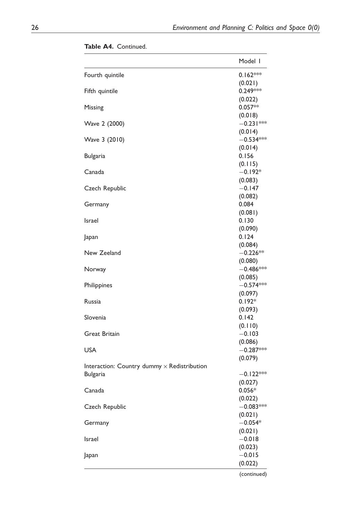|                                                    | Model I                |
|----------------------------------------------------|------------------------|
| Fourth quintile                                    | $0.162***$             |
|                                                    | (0.021)                |
| Fifth quintile                                     | $0.249***$             |
| Missing                                            | (0.022)                |
|                                                    | $0.057**$              |
| Wave 2 (2000)                                      | (0.018)                |
|                                                    | $-0.231***$            |
| Wave 3 (2010)                                      | (0.014)<br>$-0.534***$ |
|                                                    |                        |
| <b>Bulgaria</b>                                    | (0.014)<br>0.156       |
|                                                    |                        |
| Canada                                             | (0.115)<br>$-0.192*$   |
|                                                    |                        |
| Czech Republic                                     | (0.083)<br>$-0.147$    |
|                                                    | (0.082)                |
|                                                    | 0.084                  |
| Germany                                            | (0.081)                |
| Israel                                             | 0.130                  |
|                                                    | (0.090)                |
| Japan                                              | 0.124                  |
|                                                    | (0.084)                |
| New Zeeland                                        | $-0.226**$             |
|                                                    | (0.080)                |
| Norway                                             | $-0.486***$            |
|                                                    | (0.085)                |
| Philippines                                        | $-0.574***$            |
|                                                    | (0.097)                |
| Russia                                             | $0.192*$               |
|                                                    | (0.093)                |
| Slovenia                                           | 0.142                  |
|                                                    | (0.110)                |
| Great Britain                                      | $-0.103$               |
|                                                    | (0.086)                |
| USA                                                | $-0.287***$            |
|                                                    | (0.079)                |
| Interaction: Country dummy $\times$ Redistribution |                        |
| Bulgaria                                           | $-0.122***$            |
|                                                    | (0.027)                |
| Canada                                             | $0.056*$               |
|                                                    | (0.022)                |
| Czech Republic                                     | $-0.083***$            |
|                                                    | (0.021)                |
| Germany                                            | $-0.054*$              |
|                                                    | (0.021)                |
| Israel                                             | $-0.018$               |
|                                                    | (0.023)                |
| Japan                                              | $-0.015$               |
|                                                    | (0.022)                |
|                                                    | (continued)            |
|                                                    |                        |

Table A4. Continued.